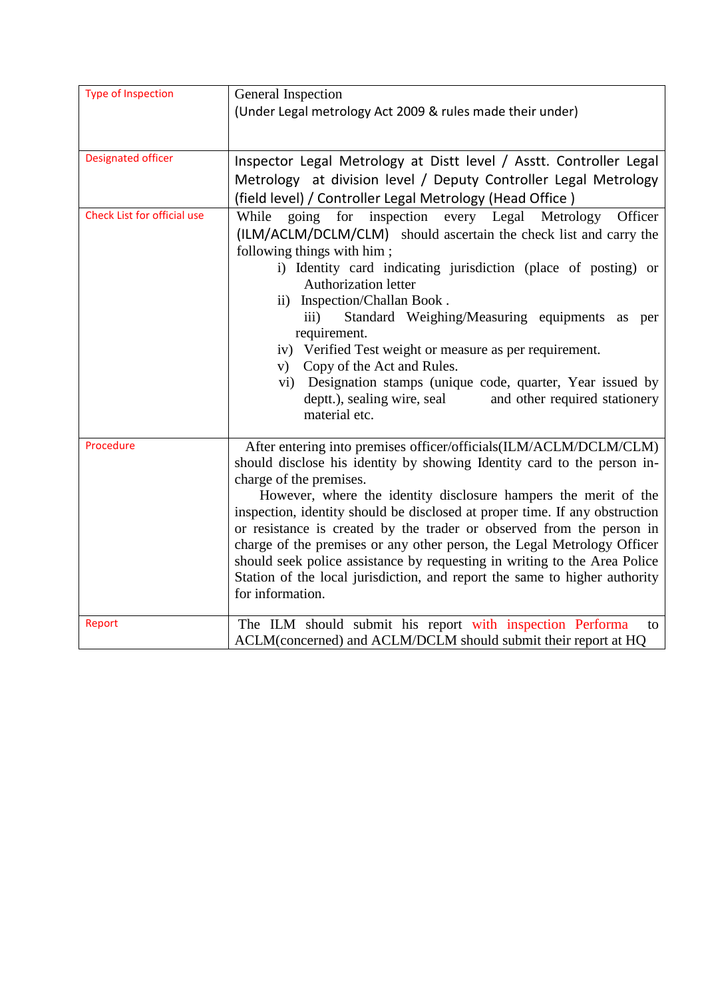| <b>Type of Inspection</b>   | General Inspection                                                                            |
|-----------------------------|-----------------------------------------------------------------------------------------------|
|                             | (Under Legal metrology Act 2009 & rules made their under)                                     |
|                             |                                                                                               |
| <b>Designated officer</b>   |                                                                                               |
|                             | Inspector Legal Metrology at Distt level / Asstt. Controller Legal                            |
|                             | Metrology at division level / Deputy Controller Legal Metrology                               |
|                             | (field level) / Controller Legal Metrology (Head Office)                                      |
| Check List for official use | going for inspection every Legal Metrology<br>While<br>Officer                                |
|                             | (ILM/ACLM/DCLM/CLM) should ascertain the check list and carry the                             |
|                             | following things with him;                                                                    |
|                             | i) Identity card indicating jurisdiction (place of posting) or                                |
|                             | <b>Authorization letter</b>                                                                   |
|                             | ii) Inspection/Challan Book.                                                                  |
|                             | Standard Weighing/Measuring equipments as per<br>$\overline{iii}$                             |
|                             | requirement.                                                                                  |
|                             | iv) Verified Test weight or measure as per requirement.                                       |
|                             | v) Copy of the Act and Rules.                                                                 |
|                             | vi) Designation stamps (unique code, quarter, Year issued by<br>and other required stationery |
|                             | deptt.), sealing wire, seal<br>material etc.                                                  |
|                             |                                                                                               |
| Procedure                   | After entering into premises officer/officials(ILM/ACLM/DCLM/CLM)                             |
|                             | should disclose his identity by showing Identity card to the person in-                       |
|                             | charge of the premises.                                                                       |
|                             | However, where the identity disclosure hampers the merit of the                               |
|                             | inspection, identity should be disclosed at proper time. If any obstruction                   |
|                             | or resistance is created by the trader or observed from the person in                         |
|                             | charge of the premises or any other person, the Legal Metrology Officer                       |
|                             | should seek police assistance by requesting in writing to the Area Police                     |
|                             | Station of the local jurisdiction, and report the same to higher authority                    |
|                             | for information.                                                                              |
| Report                      | The ILM should submit his report with inspection Performa<br>to                               |
|                             | ACLM(concerned) and ACLM/DCLM should submit their report at HQ                                |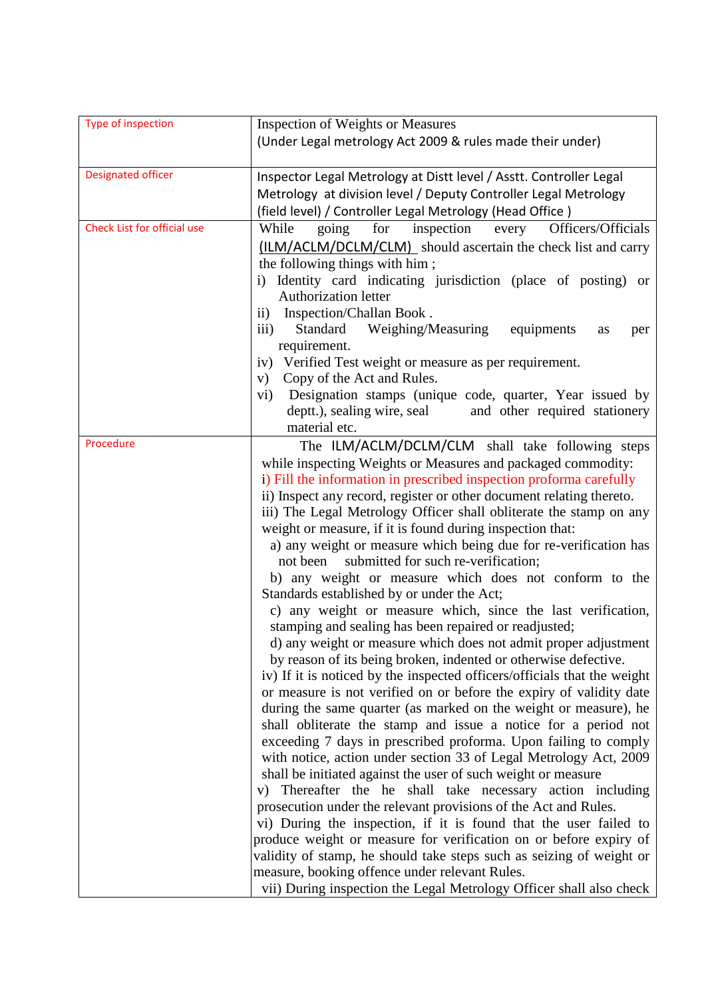| Type of inspection          | <b>Inspection of Weights or Measures</b>                                                                                                        |
|-----------------------------|-------------------------------------------------------------------------------------------------------------------------------------------------|
|                             | (Under Legal metrology Act 2009 & rules made their under)                                                                                       |
| Designated officer          | Inspector Legal Metrology at Distt level / Asstt. Controller Legal                                                                              |
|                             | Metrology at division level / Deputy Controller Legal Metrology                                                                                 |
|                             | (field level) / Controller Legal Metrology (Head Office)                                                                                        |
| Check List for official use | While<br>for inspection every<br>Officers/Officials<br>going                                                                                    |
|                             | (ILM/ACLM/DCLM/CLM) should ascertain the check list and carry                                                                                   |
|                             | the following things with him;                                                                                                                  |
|                             | i) Identity card indicating jurisdiction (place of posting) or                                                                                  |
|                             | <b>Authorization letter</b>                                                                                                                     |
|                             | Inspection/Challan Book.<br>$\rm ii)$                                                                                                           |
|                             | Weighing/Measuring<br>equipments<br>$\overline{iii}$<br>Standard<br>as<br>per                                                                   |
|                             | requirement.                                                                                                                                    |
|                             | iv) Verified Test weight or measure as per requirement.                                                                                         |
|                             | Copy of the Act and Rules.<br>V)                                                                                                                |
|                             | Designation stamps (unique code, quarter, Year issued by<br>$\rm vi)$                                                                           |
|                             | deptt.), sealing wire, seal<br>and other required stationery<br>material etc.                                                                   |
| Procedure                   |                                                                                                                                                 |
|                             | The ILM/ACLM/DCLM/CLM shall take following steps                                                                                                |
|                             | while inspecting Weights or Measures and packaged commodity:<br>i) Fill the information in prescribed inspection proforma carefully             |
|                             | ii) Inspect any record, register or other document relating thereto.                                                                            |
|                             | iii) The Legal Metrology Officer shall obliterate the stamp on any                                                                              |
|                             | weight or measure, if it is found during inspection that:                                                                                       |
|                             | a) any weight or measure which being due for re-verification has                                                                                |
|                             | submitted for such re-verification;<br>not been                                                                                                 |
|                             | b) any weight or measure which does not conform to the                                                                                          |
|                             | Standards established by or under the Act;                                                                                                      |
|                             | c) any weight or measure which, since the last verification,                                                                                    |
|                             | stamping and sealing has been repaired or readjusted;                                                                                           |
|                             | d) any weight or measure which does not admit proper adjustment                                                                                 |
|                             | by reason of its being broken, indented or otherwise defective.                                                                                 |
|                             | iv) If it is noticed by the inspected officers/officials that the weight<br>or measure is not verified on or before the expiry of validity date |
|                             | during the same quarter (as marked on the weight or measure), he                                                                                |
|                             | shall obliterate the stamp and issue a notice for a period not                                                                                  |
|                             | exceeding 7 days in prescribed proforma. Upon failing to comply                                                                                 |
|                             | with notice, action under section 33 of Legal Metrology Act, 2009                                                                               |
|                             | shall be initiated against the user of such weight or measure                                                                                   |
|                             | v) Thereafter the he shall take necessary action including                                                                                      |
|                             | prosecution under the relevant provisions of the Act and Rules.                                                                                 |
|                             | vi) During the inspection, if it is found that the user failed to                                                                               |
|                             | produce weight or measure for verification on or before expiry of                                                                               |
|                             | validity of stamp, he should take steps such as seizing of weight or                                                                            |
|                             | measure, booking offence under relevant Rules.                                                                                                  |
|                             | vii) During inspection the Legal Metrology Officer shall also check                                                                             |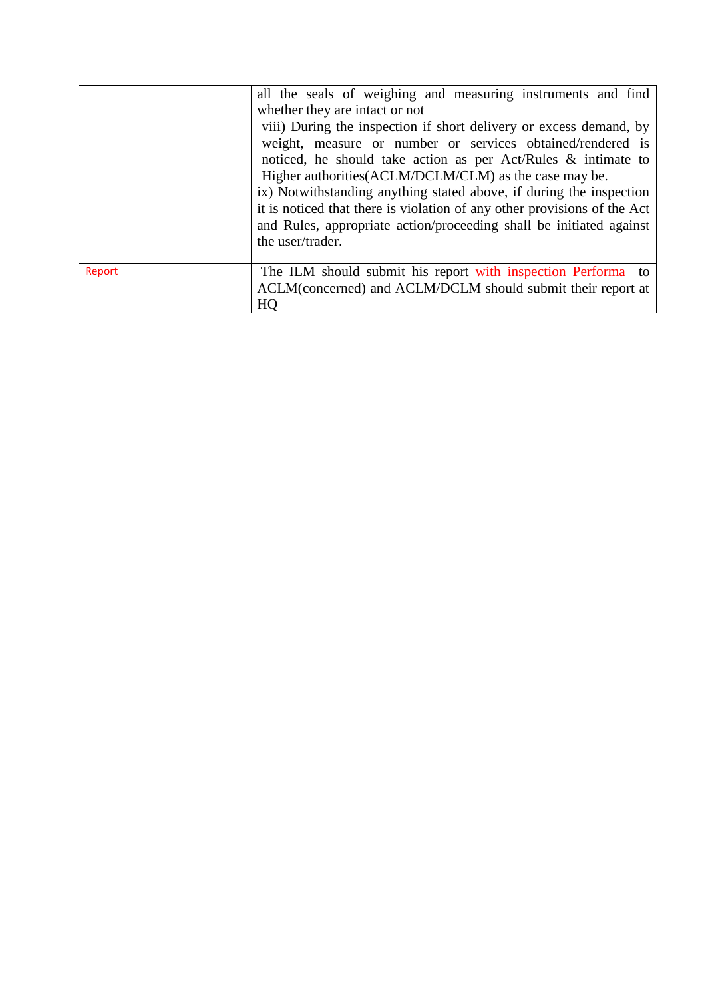|        | all the seals of weighing and measuring instruments and find             |
|--------|--------------------------------------------------------------------------|
|        | whether they are intact or not                                           |
|        | viii) During the inspection if short delivery or excess demand, by       |
|        | weight, measure or number or services obtained/rendered is               |
|        | noticed, he should take action as per Act/Rules $\&$ intimate to         |
|        | Higher authorities (ACLM/DCLM/CLM) as the case may be.                   |
|        | ix) Notwithstanding anything stated above, if during the inspection      |
|        | it is noticed that there is violation of any other provisions of the Act |
|        | and Rules, appropriate action/proceeding shall be initiated against      |
|        | the user/trader.                                                         |
|        |                                                                          |
| Report | The ILM should submit his report with inspection Performa to             |
|        | ACLM(concerned) and ACLM/DCLM should submit their report at              |
|        | HQ                                                                       |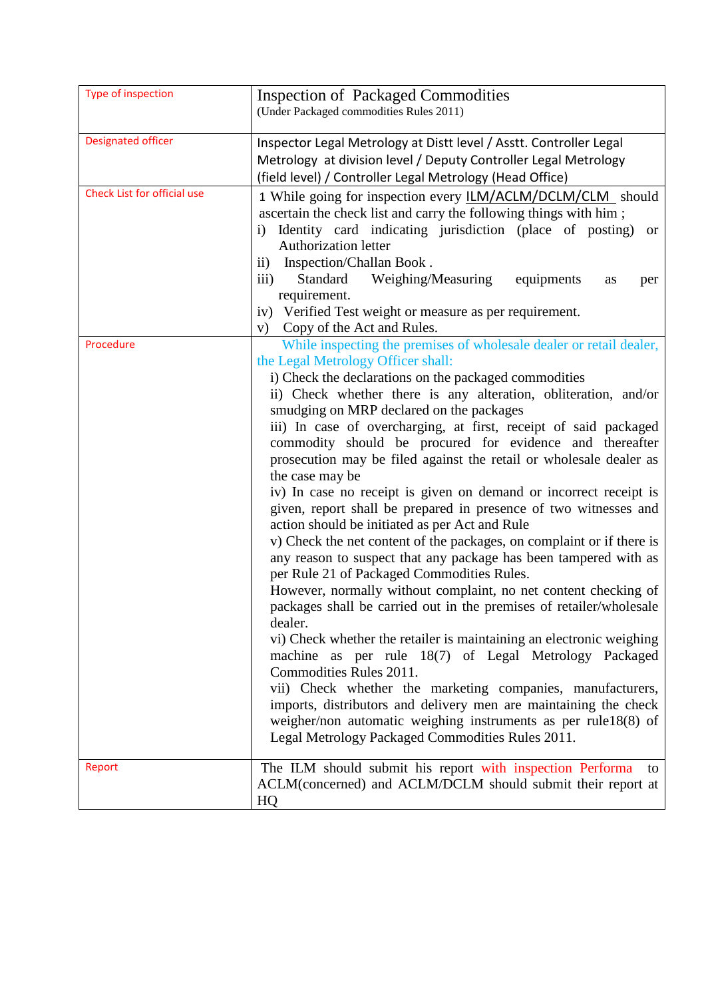| Type of inspection          | <b>Inspection of Packaged Commodities</b><br>(Under Packaged commodities Rules 2011)                                                                                                                                                                                                                                                                                                                                                                                                                                                                                                                                                                                                                                                                                                                                                                                                                                                                                                                                                                                                                                                                                                                                                                                                                                                                                                                                                                                      |
|-----------------------------|---------------------------------------------------------------------------------------------------------------------------------------------------------------------------------------------------------------------------------------------------------------------------------------------------------------------------------------------------------------------------------------------------------------------------------------------------------------------------------------------------------------------------------------------------------------------------------------------------------------------------------------------------------------------------------------------------------------------------------------------------------------------------------------------------------------------------------------------------------------------------------------------------------------------------------------------------------------------------------------------------------------------------------------------------------------------------------------------------------------------------------------------------------------------------------------------------------------------------------------------------------------------------------------------------------------------------------------------------------------------------------------------------------------------------------------------------------------------------|
| <b>Designated officer</b>   | Inspector Legal Metrology at Distt level / Asstt. Controller Legal<br>Metrology at division level / Deputy Controller Legal Metrology<br>(field level) / Controller Legal Metrology (Head Office)                                                                                                                                                                                                                                                                                                                                                                                                                                                                                                                                                                                                                                                                                                                                                                                                                                                                                                                                                                                                                                                                                                                                                                                                                                                                         |
| Check List for official use | 1 While going for inspection every <i>ILM/ACLM/DCLM/CLM</i> should<br>ascertain the check list and carry the following things with him;<br>Identity card indicating jurisdiction (place of posting)<br>$\mathbf{i}$<br><sub>or</sub><br><b>Authorization letter</b><br>Inspection/Challan Book.<br>$\rm ii)$<br>Standard<br>Weighing/Measuring<br>iii)<br>equipments<br>as<br>per<br>requirement.<br>iv) Verified Test weight or measure as per requirement.<br>Copy of the Act and Rules.<br>V)                                                                                                                                                                                                                                                                                                                                                                                                                                                                                                                                                                                                                                                                                                                                                                                                                                                                                                                                                                          |
| Procedure                   | While inspecting the premises of wholesale dealer or retail dealer,<br>the Legal Metrology Officer shall:<br>i) Check the declarations on the packaged commodities<br>ii) Check whether there is any alteration, obliteration, and/or<br>smudging on MRP declared on the packages<br>iii) In case of overcharging, at first, receipt of said packaged<br>commodity should be procured for evidence and thereafter<br>prosecution may be filed against the retail or wholesale dealer as<br>the case may be<br>iv) In case no receipt is given on demand or incorrect receipt is<br>given, report shall be prepared in presence of two witnesses and<br>action should be initiated as per Act and Rule<br>v) Check the net content of the packages, on complaint or if there is<br>any reason to suspect that any package has been tampered with as<br>per Rule 21 of Packaged Commodities Rules.<br>However, normally without complaint, no net content checking of<br>packages shall be carried out in the premises of retailer/wholesale<br>dealer.<br>vi) Check whether the retailer is maintaining an electronic weighing<br>machine as per rule 18(7) of Legal Metrology Packaged<br>Commodities Rules 2011.<br>vii) Check whether the marketing companies, manufacturers,<br>imports, distributors and delivery men are maintaining the check<br>weigher/non automatic weighing instruments as per rule18(8) of<br>Legal Metrology Packaged Commodities Rules 2011. |
| Report                      | The ILM should submit his report with inspection Performa<br>to<br>ACLM(concerned) and ACLM/DCLM should submit their report at<br>HQ                                                                                                                                                                                                                                                                                                                                                                                                                                                                                                                                                                                                                                                                                                                                                                                                                                                                                                                                                                                                                                                                                                                                                                                                                                                                                                                                      |